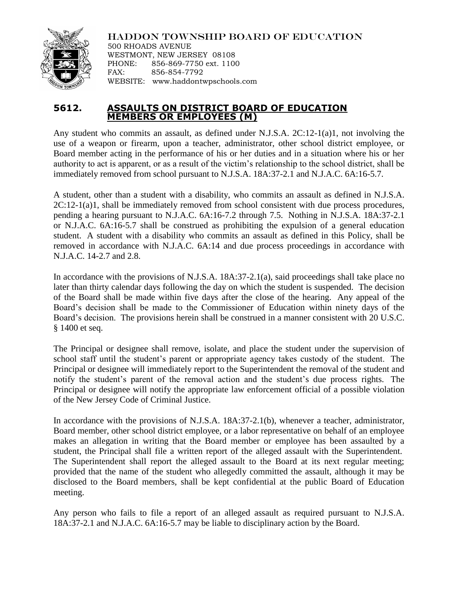

HADDON TOWNSHIP BOARD OF EDUCATION 500 RHOADS AVENUE WESTMONT, NEW JERSEY 08108 PHONE: 856-869-7750 ext. 1100 FAX: 856-854-7792 WEBSITE: www.haddontwpschools.com

## **5612. ASSAULTS ON DISTRICT BOARD OF EDUCATION MEMBERS OR EMPLOYEES (M)**

Any student who commits an assault, as defined under N.J.S.A. 2C:12-1(a)1, not involving the use of a weapon or firearm, upon a teacher, administrator, other school district employee, or Board member acting in the performance of his or her duties and in a situation where his or her authority to act is apparent, or as a result of the victim's relationship to the school district, shall be immediately removed from school pursuant to N.J.S.A. 18A:37-2.1 and N.J.A.C. 6A:16-5.7.

A student, other than a student with a disability, who commits an assault as defined in N.J.S.A.  $2C:12-1(a)1$ , shall be immediately removed from school consistent with due process procedures, pending a hearing pursuant to N.J.A.C. 6A:16-7.2 through 7.5. Nothing in N.J.S.A. 18A:37-2.1 or N.J.A.C. 6A:16-5.7 shall be construed as prohibiting the expulsion of a general education student. A student with a disability who commits an assault as defined in this Policy, shall be removed in accordance with N.J.A.C. 6A:14 and due process proceedings in accordance with N.J.A.C. 14-2.7 and 2.8.

In accordance with the provisions of N.J.S.A. 18A:37-2.1(a), said proceedings shall take place no later than thirty calendar days following the day on which the student is suspended. The decision of the Board shall be made within five days after the close of the hearing. Any appeal of the Board's decision shall be made to the Commissioner of Education within ninety days of the Board's decision. The provisions herein shall be construed in a manner consistent with 20 U.S.C. § 1400 et seq.

The Principal or designee shall remove, isolate, and place the student under the supervision of school staff until the student's parent or appropriate agency takes custody of the student. The Principal or designee will immediately report to the Superintendent the removal of the student and notify the student's parent of the removal action and the student's due process rights. The Principal or designee will notify the appropriate law enforcement official of a possible violation of the New Jersey Code of Criminal Justice.

In accordance with the provisions of N.J.S.A. 18A:37-2.1(b), whenever a teacher, administrator, Board member, other school district employee, or a labor representative on behalf of an employee makes an allegation in writing that the Board member or employee has been assaulted by a student, the Principal shall file a written report of the alleged assault with the Superintendent. The Superintendent shall report the alleged assault to the Board at its next regular meeting; provided that the name of the student who allegedly committed the assault, although it may be disclosed to the Board members, shall be kept confidential at the public Board of Education meeting.

Any person who fails to file a report of an alleged assault as required pursuant to N.J.S.A. 18A:37-2.1 and N.J.A.C. 6A:16-5.7 may be liable to disciplinary action by the Board.